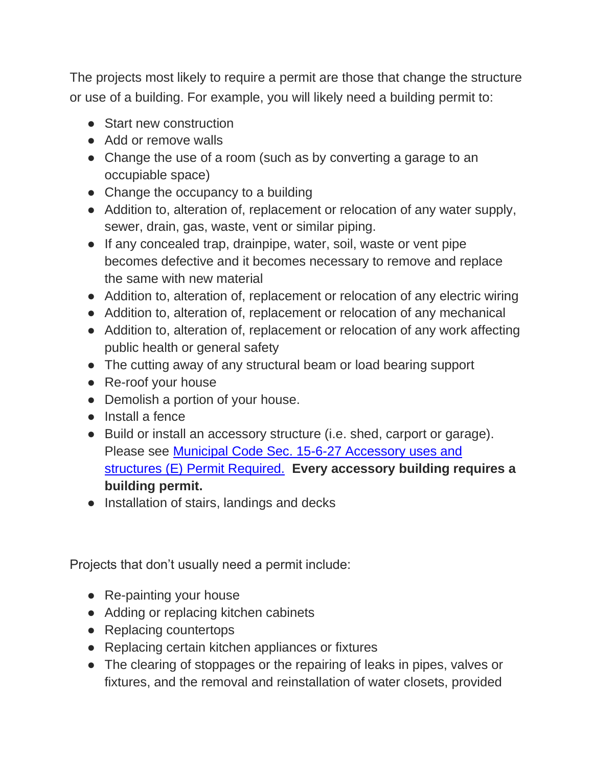The projects most likely to require a permit are those that change the structure or use of a building. For example, you will likely need a building permit to:

- Start new construction
- Add or remove walls
- Change the use of a room (such as by converting a garage to an occupiable space)
- Change the occupancy to a building
- Addition to, alteration of, replacement or relocation of any water supply, sewer, drain, gas, waste, vent or similar piping.
- If any concealed trap, drainpipe, water, soil, waste or vent pipe becomes defective and it becomes necessary to remove and replace the same with new material
- Addition to, alteration of, replacement or relocation of any electric wiring
- Addition to, alteration of, replacement or relocation of any mechanical
- Addition to, alteration of, replacement or relocation of any work affecting public health or general safety
- The cutting away of any structural beam or load bearing support
- Re-roof your house
- Demolish a portion of your house.
- Install a fence
- Build or install an accessory structure (i.e. shed, carport or garage). Please see [Municipal Code Sec. 15-6-27 Accessory uses and](https://library.municode.com/tx/kingsville/codes/code_of_ordinances?nodeId=PT2COOR_CHXVLAUS_ART6ZO_USREDI_S15-6-27ACUSST)  structures (E) [Permit Required.](https://library.municode.com/tx/kingsville/codes/code_of_ordinances?nodeId=PT2COOR_CHXVLAUS_ART6ZO_USREDI_S15-6-27ACUSST) **Every accessory building requires a building permit.**
- Installation of stairs, landings and decks

Projects that don't usually need a permit include:

- Re-painting your house
- Adding or replacing kitchen cabinets
- Replacing countertops
- Replacing certain kitchen appliances or fixtures
- The clearing of stoppages or the repairing of leaks in pipes, valves or fixtures, and the removal and reinstallation of water closets, provided